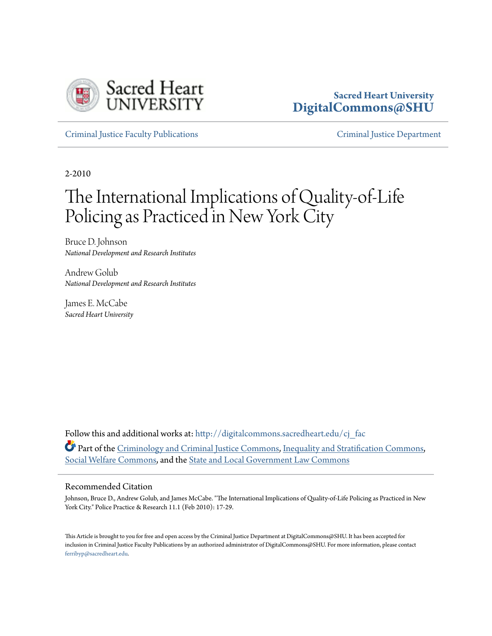

### **Sacred Heart University [DigitalCommons@SHU](http://digitalcommons.sacredheart.edu?utm_source=digitalcommons.sacredheart.edu%2Fcj_fac%2F6&utm_medium=PDF&utm_campaign=PDFCoverPages)**

[Criminal Justice Faculty Publications](http://digitalcommons.sacredheart.edu/cj_fac?utm_source=digitalcommons.sacredheart.edu%2Fcj_fac%2F6&utm_medium=PDF&utm_campaign=PDFCoverPages) [Criminal Justice Department](http://digitalcommons.sacredheart.edu/cj?utm_source=digitalcommons.sacredheart.edu%2Fcj_fac%2F6&utm_medium=PDF&utm_campaign=PDFCoverPages)

2-2010

# The International Implications of Quality-of-Life Policing as Practiced in New York City

Bruce D. Johnson *National Development and Research Institutes*

Andrew Golub *National Development and Research Institutes*

James E. McCabe *Sacred Heart University*

Follow this and additional works at: [http://digitalcommons.sacredheart.edu/cj\\_fac](http://digitalcommons.sacredheart.edu/cj_fac?utm_source=digitalcommons.sacredheart.edu%2Fcj_fac%2F6&utm_medium=PDF&utm_campaign=PDFCoverPages) Part of the [Criminology and Criminal Justice Commons](http://network.bepress.com/hgg/discipline/367?utm_source=digitalcommons.sacredheart.edu%2Fcj_fac%2F6&utm_medium=PDF&utm_campaign=PDFCoverPages), [Inequality and Stratification Commons](http://network.bepress.com/hgg/discipline/421?utm_source=digitalcommons.sacredheart.edu%2Fcj_fac%2F6&utm_medium=PDF&utm_campaign=PDFCoverPages), [Social Welfare Commons,](http://network.bepress.com/hgg/discipline/401?utm_source=digitalcommons.sacredheart.edu%2Fcj_fac%2F6&utm_medium=PDF&utm_campaign=PDFCoverPages) and the [State and Local Government Law Commons](http://network.bepress.com/hgg/discipline/879?utm_source=digitalcommons.sacredheart.edu%2Fcj_fac%2F6&utm_medium=PDF&utm_campaign=PDFCoverPages)

#### Recommended Citation

Johnson, Bruce D., Andrew Golub, and James McCabe. "The International Implications of Quality-of-Life Policing as Practiced in New York City." Police Practice & Research 11.1 (Feb 2010): 17-29.

This Article is brought to you for free and open access by the Criminal Justice Department at DigitalCommons@SHU. It has been accepted for inclusion in Criminal Justice Faculty Publications by an authorized administrator of DigitalCommons@SHU. For more information, please contact [ferribyp@sacredheart.edu](mailto:ferribyp@sacredheart.edu).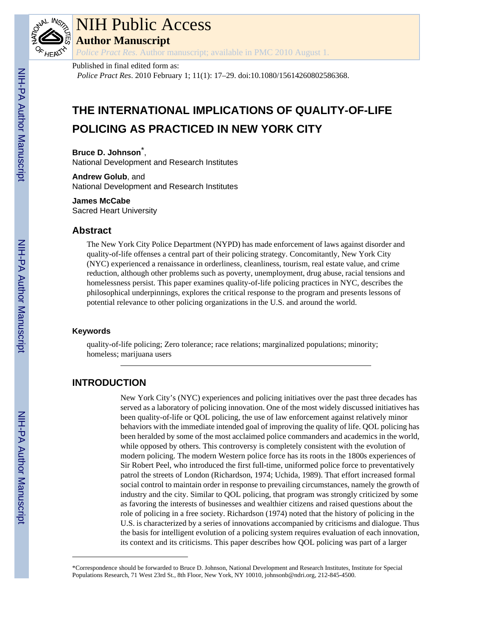

# NIH Public Access

**Author Manuscript**

*Police Pract Res*. Author manuscript; available in PMC 2010 August 1.

#### Published in final edited form as:

*Police Pract Res*. 2010 February 1; 11(1): 17–29. doi:10.1080/15614260802586368.

## **THE INTERNATIONAL IMPLICATIONS OF QUALITY-OF-LIFE POLICING AS PRACTICED IN NEW YORK CITY**

**Bruce D. Johnson**\* ,

National Development and Research Institutes

**Andrew Golub**, and National Development and Research Institutes

#### **James McCabe**

Sacred Heart University

#### **Abstract**

The New York City Police Department (NYPD) has made enforcement of laws against disorder and quality-of-life offenses a central part of their policing strategy. Concomitantly, New York City (NYC) experienced a renaissance in orderliness, cleanliness, tourism, real estate value, and crime reduction, although other problems such as poverty, unemployment, drug abuse, racial tensions and homelessness persist. This paper examines quality-of-life policing practices in NYC, describes the philosophical underpinnings, explores the critical response to the program and presents lessons of potential relevance to other policing organizations in the U.S. and around the world.

#### **Keywords**

quality-of-life policing; Zero tolerance; race relations; marginalized populations; minority; homeless; marijuana users

### **INTRODUCTION**

New York City's (NYC) experiences and policing initiatives over the past three decades has served as a laboratory of policing innovation. One of the most widely discussed initiatives has been quality-of-life or QOL policing, the use of law enforcement against relatively minor behaviors with the immediate intended goal of improving the quality of life. QOL policing has been heralded by some of the most acclaimed police commanders and academics in the world, while opposed by others. This controversy is completely consistent with the evolution of modern policing. The modern Western police force has its roots in the 1800s experiences of Sir Robert Peel, who introduced the first full-time, uniformed police force to preventatively patrol the streets of London (Richardson, 1974; Uchida, 1989). That effort increased formal social control to maintain order in response to prevailing circumstances, namely the growth of industry and the city. Similar to QOL policing, that program was strongly criticized by some as favoring the interests of businesses and wealthier citizens and raised questions about the role of policing in a free society. Richardson (1974) noted that the history of policing in the U.S. is characterized by a series of innovations accompanied by criticisms and dialogue. Thus the basis for intelligent evolution of a policing system requires evaluation of each innovation, its context and its criticisms. This paper describes how QOL policing was part of a larger

<sup>\*</sup>Correspondence should be forwarded to Bruce D. Johnson, National Development and Research Institutes, Institute for Special Populations Research, 71 West 23rd St., 8th Floor, New York, NY 10010, johnsonb@ndri.org, 212-845-4500.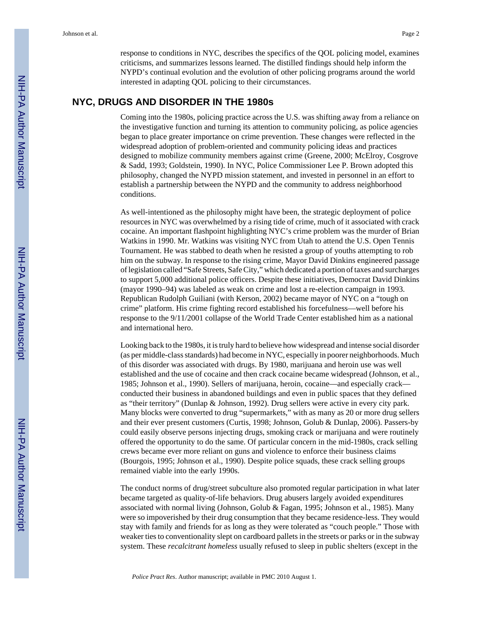response to conditions in NYC, describes the specifics of the QOL policing model, examines criticisms, and summarizes lessons learned. The distilled findings should help inform the NYPD's continual evolution and the evolution of other policing programs around the world interested in adapting QOL policing to their circumstances.

#### **NYC, DRUGS AND DISORDER IN THE 1980s**

Coming into the 1980s, policing practice across the U.S. was shifting away from a reliance on the investigative function and turning its attention to community policing, as police agencies began to place greater importance on crime prevention. These changes were reflected in the widespread adoption of problem-oriented and community policing ideas and practices designed to mobilize community members against crime (Greene, 2000; McElroy, Cosgrove & Sadd, 1993; Goldstein, 1990). In NYC, Police Commissioner Lee P. Brown adopted this philosophy, changed the NYPD mission statement, and invested in personnel in an effort to establish a partnership between the NYPD and the community to address neighborhood conditions.

As well-intentioned as the philosophy might have been, the strategic deployment of police resources in NYC was overwhelmed by a rising tide of crime, much of it associated with crack cocaine. An important flashpoint highlighting NYC's crime problem was the murder of Brian Watkins in 1990. Mr. Watkins was visiting NYC from Utah to attend the U.S. Open Tennis Tournament. He was stabbed to death when he resisted a group of youths attempting to rob him on the subway. In response to the rising crime, Mayor David Dinkins engineered passage of legislation called "Safe Streets, Safe City," which dedicated a portion of taxes and surcharges to support 5,000 additional police officers. Despite these initiatives, Democrat David Dinkins (mayor 1990–94) was labeled as weak on crime and lost a re-election campaign in 1993. Republican Rudolph Guiliani (with Kerson, 2002) became mayor of NYC on a "tough on crime" platform. His crime fighting record established his forcefulness—well before his response to the 9/11/2001 collapse of the World Trade Center established him as a national and international hero.

Looking back to the 1980s, it is truly hard to believe how widespread and intense social disorder (as per middle-class standards) had become in NYC, especially in poorer neighborhoods. Much of this disorder was associated with drugs. By 1980, marijuana and heroin use was well established and the use of cocaine and then crack cocaine became widespread (Johnson, et al., 1985; Johnson et al., 1990). Sellers of marijuana, heroin, cocaine—and especially crack conducted their business in abandoned buildings and even in public spaces that they defined as "their territory" (Dunlap & Johnson, 1992). Drug sellers were active in every city park. Many blocks were converted to drug "supermarkets," with as many as 20 or more drug sellers and their ever present customers (Curtis, 1998; Johnson, Golub & Dunlap, 2006). Passers-by could easily observe persons injecting drugs, smoking crack or marijuana and were routinely offered the opportunity to do the same. Of particular concern in the mid-1980s, crack selling crews became ever more reliant on guns and violence to enforce their business claims (Bourgois, 1995; Johnson et al., 1990). Despite police squads, these crack selling groups remained viable into the early 1990s.

The conduct norms of drug/street subculture also promoted regular participation in what later became targeted as quality-of-life behaviors. Drug abusers largely avoided expenditures associated with normal living (Johnson, Golub & Fagan, 1995; Johnson et al., 1985). Many were so impoverished by their drug consumption that they became residence-less. They would stay with family and friends for as long as they were tolerated as "couch people." Those with weaker ties to conventionality slept on cardboard pallets in the streets or parks or in the subway system. These *recalcitrant homeless* usually refused to sleep in public shelters (except in the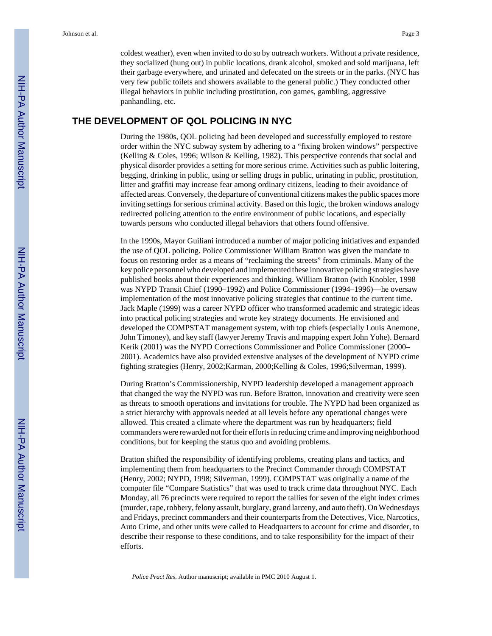coldest weather), even when invited to do so by outreach workers. Without a private residence, they socialized (hung out) in public locations, drank alcohol, smoked and sold marijuana, left their garbage everywhere, and urinated and defecated on the streets or in the parks. (NYC has very few public toilets and showers available to the general public.) They conducted other illegal behaviors in public including prostitution, con games, gambling, aggressive panhandling, etc.

#### **THE DEVELOPMENT OF QOL POLICING IN NYC**

During the 1980s, QOL policing had been developed and successfully employed to restore order within the NYC subway system by adhering to a "fixing broken windows" perspective (Kelling & Coles, 1996; Wilson & Kelling, 1982). This perspective contends that social and physical disorder provides a setting for more serious crime. Activities such as public loitering, begging, drinking in public, using or selling drugs in public, urinating in public, prostitution, litter and graffiti may increase fear among ordinary citizens, leading to their avoidance of affected areas. Conversely, the departure of conventional citizens makes the public spaces more inviting settings for serious criminal activity. Based on this logic, the broken windows analogy redirected policing attention to the entire environment of public locations, and especially towards persons who conducted illegal behaviors that others found offensive.

In the 1990s, Mayor Guiliani introduced a number of major policing initiatives and expanded the use of QOL policing. Police Commissioner William Bratton was given the mandate to focus on restoring order as a means of "reclaiming the streets" from criminals. Many of the key police personnel who developed and implemented these innovative policing strategies have published books about their experiences and thinking. William Bratton (with Knobler, 1998 was NYPD Transit Chief (1990–1992) and Police Commissioner (1994–1996)—he oversaw implementation of the most innovative policing strategies that continue to the current time. Jack Maple (1999) was a career NYPD officer who transformed academic and strategic ideas into practical policing strategies and wrote key strategy documents. He envisioned and developed the COMPSTAT management system, with top chiefs (especially Louis Anemone, John Timoney), and key staff (lawyer Jeremy Travis and mapping expert John Yohe). Bernard Kerik (2001) was the NYPD Corrections Commissioner and Police Commissioner (2000– 2001). Academics have also provided extensive analyses of the development of NYPD crime fighting strategies (Henry, 2002;Karman, 2000;Kelling & Coles, 1996;Silverman, 1999).

During Bratton's Commissionership, NYPD leadership developed a management approach that changed the way the NYPD was run. Before Bratton, innovation and creativity were seen as threats to smooth operations and invitations for trouble. The NYPD had been organized as a strict hierarchy with approvals needed at all levels before any operational changes were allowed. This created a climate where the department was run by headquarters; field commanders were rewarded not for their efforts in reducing crime and improving neighborhood conditions, but for keeping the status quo and avoiding problems.

Bratton shifted the responsibility of identifying problems, creating plans and tactics, and implementing them from headquarters to the Precinct Commander through COMPSTAT (Henry, 2002; NYPD, 1998; Silverman, 1999). COMPSTAT was originally a name of the computer file "Compare Statistics" that was used to track crime data throughout NYC. Each Monday, all 76 precincts were required to report the tallies for seven of the eight index crimes (murder, rape, robbery, felony assault, burglary, grand larceny, and auto theft). On Wednesdays and Fridays, precinct commanders and their counterparts from the Detectives, Vice, Narcotics, Auto Crime, and other units were called to Headquarters to account for crime and disorder, to describe their response to these conditions, and to take responsibility for the impact of their efforts.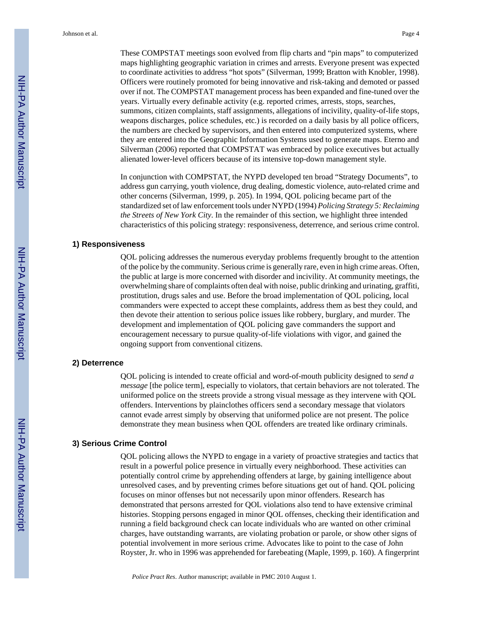These COMPSTAT meetings soon evolved from flip charts and "pin maps" to computerized maps highlighting geographic variation in crimes and arrests. Everyone present was expected to coordinate activities to address "hot spots" (Silverman, 1999; Bratton with Knobler, 1998). Officers were routinely promoted for being innovative and risk-taking and demoted or passed over if not. The COMPSTAT management process has been expanded and fine-tuned over the years. Virtually every definable activity (e.g. reported crimes, arrests, stops, searches, summons, citizen complaints, staff assignments, allegations of incivility, quality-of-life stops, weapons discharges, police schedules, etc.) is recorded on a daily basis by all police officers, the numbers are checked by supervisors, and then entered into computerized systems, where they are entered into the Geographic Information Systems used to generate maps. Eterno and

In conjunction with COMPSTAT, the NYPD developed ten broad "Strategy Documents", to address gun carrying, youth violence, drug dealing, domestic violence, auto-related crime and other concerns (Silverman, 1999, p. 205). In 1994, QOL policing became part of the standardized set of law enforcement tools under NYPD (1994) *Policing Strategy 5: Reclaiming the Streets of New York City*. In the remainder of this section, we highlight three intended characteristics of this policing strategy: responsiveness, deterrence, and serious crime control.

Silverman (2006) reported that COMPSTAT was embraced by police executives but actually

alienated lower-level officers because of its intensive top-down management style.

#### **1) Responsiveness**

QOL policing addresses the numerous everyday problems frequently brought to the attention of the police by the community. Serious crime is generally rare, even in high crime areas. Often, the public at large is more concerned with disorder and incivility. At community meetings, the overwhelming share of complaints often deal with noise, public drinking and urinating, graffiti, prostitution, drugs sales and use. Before the broad implementation of QOL policing, local commanders were expected to accept these complaints, address them as best they could, and then devote their attention to serious police issues like robbery, burglary, and murder. The development and implementation of QOL policing gave commanders the support and encouragement necessary to pursue quality-of-life violations with vigor, and gained the ongoing support from conventional citizens.

#### **2) Deterrence**

QOL policing is intended to create official and word-of-mouth publicity designed to *send a message* [the police term], especially to violators, that certain behaviors are not tolerated. The uniformed police on the streets provide a strong visual message as they intervene with QOL offenders. Interventions by plainclothes officers send a secondary message that violators cannot evade arrest simply by observing that uniformed police are not present. The police demonstrate they mean business when QOL offenders are treated like ordinary criminals.

#### **3) Serious Crime Control**

QOL policing allows the NYPD to engage in a variety of proactive strategies and tactics that result in a powerful police presence in virtually every neighborhood. These activities can potentially control crime by apprehending offenders at large, by gaining intelligence about unresolved cases, and by preventing crimes before situations get out of hand. QOL policing focuses on minor offenses but not necessarily upon minor offenders. Research has demonstrated that persons arrested for QOL violations also tend to have extensive criminal histories. Stopping persons engaged in minor QOL offenses, checking their identification and running a field background check can locate individuals who are wanted on other criminal charges, have outstanding warrants, are violating probation or parole, or show other signs of potential involvement in more serious crime. Advocates like to point to the case of John Royster, Jr. who in 1996 was apprehended for farebeating (Maple, 1999, p. 160). A fingerprint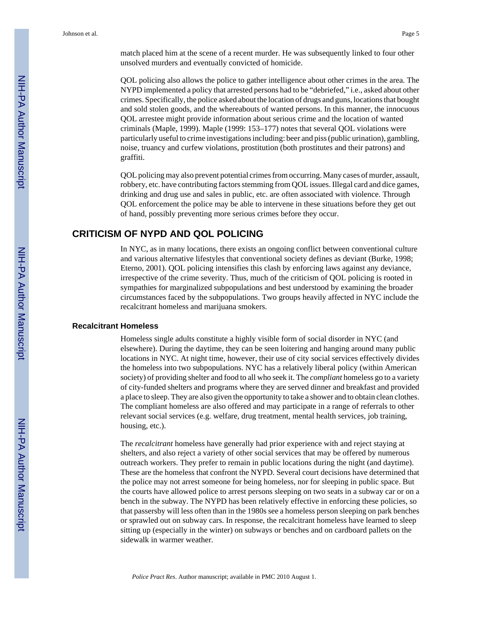match placed him at the scene of a recent murder. He was subsequently linked to four other unsolved murders and eventually convicted of homicide.

QOL policing also allows the police to gather intelligence about other crimes in the area. The NYPD implemented a policy that arrested persons had to be "debriefed," i.e., asked about other crimes. Specifically, the police asked about the location of drugs and guns, locations that bought and sold stolen goods, and the whereabouts of wanted persons. In this manner, the innocuous QOL arrestee might provide information about serious crime and the location of wanted criminals (Maple, 1999). Maple (1999: 153–177) notes that several QOL violations were particularly useful to crime investigations including: beer and piss (public urination), gambling, noise, truancy and curfew violations, prostitution (both prostitutes and their patrons) and graffiti.

QOL policing may also prevent potential crimes from occurring. Many cases of murder, assault, robbery, etc. have contributing factors stemming from QOL issues. Illegal card and dice games, drinking and drug use and sales in public, etc. are often associated with violence. Through QOL enforcement the police may be able to intervene in these situations before they get out of hand, possibly preventing more serious crimes before they occur.

#### **CRITICISM OF NYPD AND QOL POLICING**

In NYC, as in many locations, there exists an ongoing conflict between conventional culture and various alternative lifestyles that conventional society defines as deviant (Burke, 1998; Eterno, 2001). QOL policing intensifies this clash by enforcing laws against any deviance, irrespective of the crime severity. Thus, much of the criticism of QOL policing is rooted in sympathies for marginalized subpopulations and best understood by examining the broader circumstances faced by the subpopulations. Two groups heavily affected in NYC include the recalcitrant homeless and marijuana smokers.

#### **Recalcitrant Homeless**

Homeless single adults constitute a highly visible form of social disorder in NYC (and elsewhere). During the daytime, they can be seen loitering and hanging around many public locations in NYC. At night time, however, their use of city social services effectively divides the homeless into two subpopulations. NYC has a relatively liberal policy (within American society) of providing shelter and food to all who seek it. The *compliant* homeless go to a variety of city-funded shelters and programs where they are served dinner and breakfast and provided a place to sleep. They are also given the opportunity to take a shower and to obtain clean clothes. The compliant homeless are also offered and may participate in a range of referrals to other relevant social services (e.g. welfare, drug treatment, mental health services, job training, housing, etc.).

The *recalcitrant* homeless have generally had prior experience with and reject staying at shelters, and also reject a variety of other social services that may be offered by numerous outreach workers. They prefer to remain in public locations during the night (and daytime). These are the homeless that confront the NYPD. Several court decisions have determined that the police may not arrest someone for being homeless, nor for sleeping in public space. But the courts have allowed police to arrest persons sleeping on two seats in a subway car or on a bench in the subway. The NYPD has been relatively effective in enforcing these policies, so that passersby will less often than in the 1980s see a homeless person sleeping on park benches or sprawled out on subway cars. In response, the recalcitrant homeless have learned to sleep sitting up (especially in the winter) on subways or benches and on cardboard pallets on the sidewalk in warmer weather.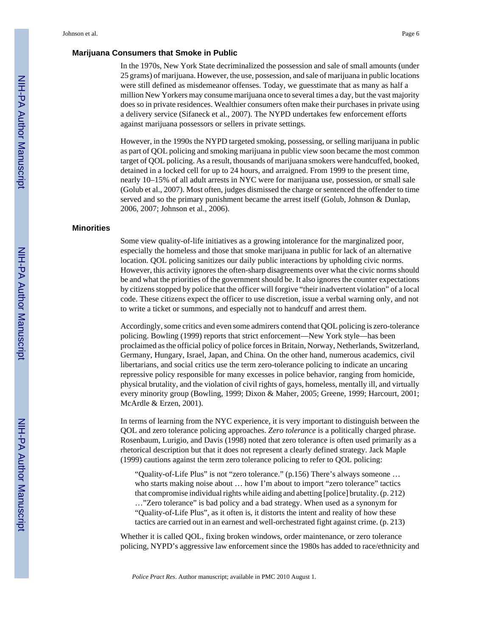#### **Marijuana Consumers that Smoke in Public**

In the 1970s, New York State decriminalized the possession and sale of small amounts (under 25 grams) of marijuana. However, the use, possession, and sale of marijuana in public locations were still defined as misdemeanor offenses. Today, we guesstimate that as many as half a million New Yorkers may consume marijuana once to several times a day, but the vast majority does so in private residences. Wealthier consumers often make their purchases in private using a delivery service (Sifaneck et al., 2007). The NYPD undertakes few enforcement efforts against marijuana possessors or sellers in private settings.

However, in the 1990s the NYPD targeted smoking, possessing, or selling marijuana in public as part of QOL policing and smoking marijuana in public view soon became the most common target of QOL policing. As a result, thousands of marijuana smokers were handcuffed, booked, detained in a locked cell for up to 24 hours, and arraigned. From 1999 to the present time, nearly 10–15% of all adult arrests in NYC were for marijuana use, possession, or small sale (Golub et al., 2007). Most often, judges dismissed the charge or sentenced the offender to time served and so the primary punishment became the arrest itself (Golub, Johnson & Dunlap, 2006, 2007; Johnson et al., 2006).

#### **Minorities**

Some view quality-of-life initiatives as a growing intolerance for the marginalized poor, especially the homeless and those that smoke marijuana in public for lack of an alternative location. QOL policing sanitizes our daily public interactions by upholding civic norms. However, this activity ignores the often-sharp disagreements over what the civic norms should be and what the priorities of the government should be. It also ignores the counter expectations by citizens stopped by police that the officer will forgive "their inadvertent violation" of a local code. These citizens expect the officer to use discretion, issue a verbal warning only, and not to write a ticket or summons, and especially not to handcuff and arrest them.

Accordingly, some critics and even some admirers contend that QOL policing is zero-tolerance policing. Bowling (1999) reports that strict enforcement—New York style—has been proclaimed as the official policy of police forces in Britain, Norway, Netherlands, Switzerland, Germany, Hungary, Israel, Japan, and China. On the other hand, numerous academics, civil libertarians, and social critics use the term zero-tolerance policing to indicate an uncaring repressive policy responsible for many excesses in police behavior, ranging from homicide, physical brutality, and the violation of civil rights of gays, homeless, mentally ill, and virtually every minority group (Bowling, 1999; Dixon & Maher, 2005; Greene, 1999; Harcourt, 2001; McArdle & Erzen, 2001).

In terms of learning from the NYC experience, it is very important to distinguish between the QOL and zero tolerance policing approaches. *Zero tolerance* is a politically charged phrase. Rosenbaum, Lurigio, and Davis (1998) noted that zero tolerance is often used primarily as a rhetorical description but that it does not represent a clearly defined strategy. Jack Maple (1999) cautions against the term zero tolerance policing to refer to QOL policing:

"Quality-of-Life Plus" is not "zero tolerance." (p.156) There's always someone … who starts making noise about ... how I'm about to import "zero tolerance" tactics that compromise individual rights while aiding and abetting [police] brutality. (p. 212) …"Zero tolerance" is bad policy and a bad strategy. When used as a synonym for "Quality-of-Life Plus", as it often is, it distorts the intent and reality of how these tactics are carried out in an earnest and well-orchestrated fight against crime. (p. 213)

Whether it is called QOL, fixing broken windows, order maintenance, or zero tolerance policing, NYPD's aggressive law enforcement since the 1980s has added to race/ethnicity and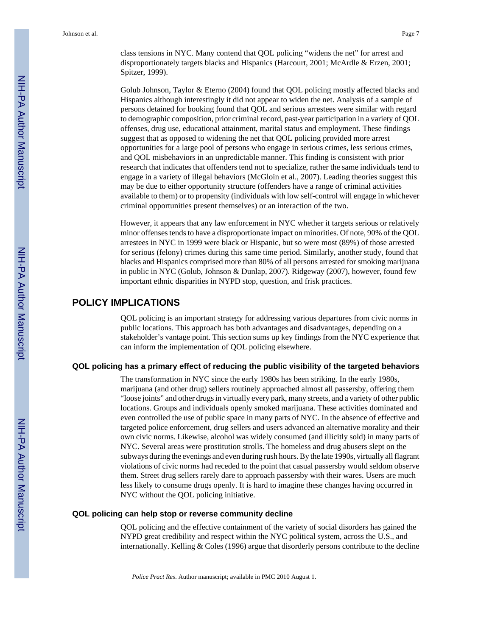class tensions in NYC. Many contend that QOL policing "widens the net" for arrest and disproportionately targets blacks and Hispanics (Harcourt, 2001; McArdle & Erzen, 2001; Spitzer, 1999).

Golub Johnson, Taylor & Eterno (2004) found that QOL policing mostly affected blacks and Hispanics although interestingly it did not appear to widen the net. Analysis of a sample of persons detained for booking found that QOL and serious arrestees were similar with regard to demographic composition, prior criminal record, past-year participation in a variety of QOL offenses, drug use, educational attainment, marital status and employment. These findings suggest that as opposed to widening the net that QOL policing provided more arrest opportunities for a large pool of persons who engage in serious crimes, less serious crimes, and QOL misbehaviors in an unpredictable manner. This finding is consistent with prior research that indicates that offenders tend not to specialize, rather the same individuals tend to engage in a variety of illegal behaviors (McGloin et al., 2007). Leading theories suggest this may be due to either opportunity structure (offenders have a range of criminal activities available to them) or to propensity (individuals with low self-control will engage in whichever criminal opportunities present themselves) or an interaction of the two.

However, it appears that any law enforcement in NYC whether it targets serious or relatively minor offenses tends to have a disproportionate impact on minorities. Of note, 90% of the QOL arrestees in NYC in 1999 were black or Hispanic, but so were most (89%) of those arrested for serious (felony) crimes during this same time period. Similarly, another study, found that blacks and Hispanics comprised more than 80% of all persons arrested for smoking marijuana in public in NYC (Golub, Johnson & Dunlap, 2007). Ridgeway (2007), however, found few important ethnic disparities in NYPD stop, question, and frisk practices.

#### **POLICY IMPLICATIONS**

QOL policing is an important strategy for addressing various departures from civic norms in public locations. This approach has both advantages and disadvantages, depending on a stakeholder's vantage point. This section sums up key findings from the NYC experience that can inform the implementation of QOL policing elsewhere.

#### **QOL policing has a primary effect of reducing the public visibility of the targeted behaviors**

The transformation in NYC since the early 1980s has been striking. In the early 1980s, marijuana (and other drug) sellers routinely approached almost all passersby, offering them "loose joints" and other drugs in virtually every park, many streets, and a variety of other public locations. Groups and individuals openly smoked marijuana. These activities dominated and even controlled the use of public space in many parts of NYC. In the absence of effective and targeted police enforcement, drug sellers and users advanced an alternative morality and their own civic norms. Likewise, alcohol was widely consumed (and illicitly sold) in many parts of NYC. Several areas were prostitution strolls. The homeless and drug abusers slept on the subways during the evenings and even during rush hours. By the late 1990s, virtually all flagrant violations of civic norms had receded to the point that casual passersby would seldom observe them. Street drug sellers rarely dare to approach passersby with their wares. Users are much less likely to consume drugs openly. It is hard to imagine these changes having occurred in NYC without the QOL policing initiative.

#### **QOL policing can help stop or reverse community decline**

QOL policing and the effective containment of the variety of social disorders has gained the NYPD great credibility and respect within the NYC political system, across the U.S., and internationally. Kelling & Coles (1996) argue that disorderly persons contribute to the decline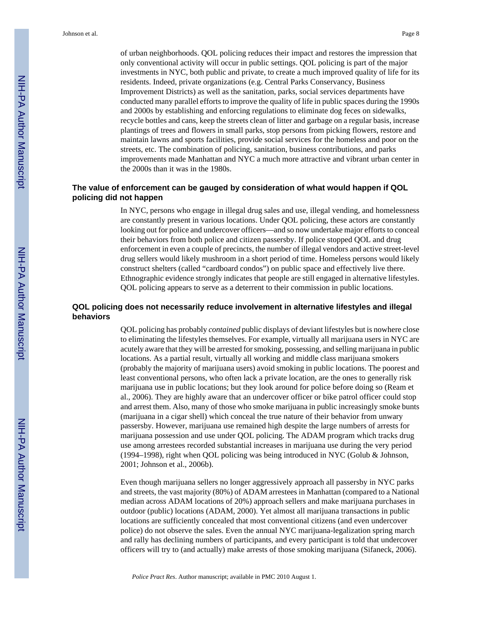of urban neighborhoods. QOL policing reduces their impact and restores the impression that only conventional activity will occur in public settings. QOL policing is part of the major investments in NYC, both public and private, to create a much improved quality of life for its residents. Indeed, private organizations (e.g. Central Parks Conservancy, Business Improvement Districts) as well as the sanitation, parks, social services departments have conducted many parallel efforts to improve the quality of life in public spaces during the 1990s and 2000s by establishing and enforcing regulations to eliminate dog feces on sidewalks, recycle bottles and cans, keep the streets clean of litter and garbage on a regular basis, increase plantings of trees and flowers in small parks, stop persons from picking flowers, restore and maintain lawns and sports facilities, provide social services for the homeless and poor on the streets, etc. The combination of policing, sanitation, business contributions, and parks improvements made Manhattan and NYC a much more attractive and vibrant urban center in the 2000s than it was in the 1980s.

#### **The value of enforcement can be gauged by consideration of what would happen if QOL policing did not happen**

In NYC, persons who engage in illegal drug sales and use, illegal vending, and homelessness are constantly present in various locations. Under QOL policing, these actors are constantly looking out for police and undercover officers—and so now undertake major efforts to conceal their behaviors from both police and citizen passersby. If police stopped QOL and drug enforcement in even a couple of precincts, the number of illegal vendors and active street-level drug sellers would likely mushroom in a short period of time. Homeless persons would likely construct shelters (called "cardboard condos") on public space and effectively live there. Ethnographic evidence strongly indicates that people are still engaged in alternative lifestyles. QOL policing appears to serve as a deterrent to their commission in public locations.

#### **QOL policing does not necessarily reduce involvement in alternative lifestyles and illegal behaviors**

QOL policing has probably *contained* public displays of deviant lifestyles but is nowhere close to eliminating the lifestyles themselves. For example, virtually all marijuana users in NYC are acutely aware that they will be arrested for smoking, possessing, and selling marijuana in public locations. As a partial result, virtually all working and middle class marijuana smokers (probably the majority of marijuana users) avoid smoking in public locations. The poorest and least conventional persons, who often lack a private location, are the ones to generally risk marijuana use in public locations; but they look around for police before doing so (Ream et al., 2006). They are highly aware that an undercover officer or bike patrol officer could stop and arrest them. Also, many of those who smoke marijuana in public increasingly smoke bunts (marijuana in a cigar shell) which conceal the true nature of their behavior from unwary passersby. However, marijuana use remained high despite the large numbers of arrests for marijuana possession and use under QOL policing. The ADAM program which tracks drug use among arrestees recorded substantial increases in marijuana use during the very period (1994–1998), right when QOL policing was being introduced in NYC (Golub & Johnson, 2001; Johnson et al., 2006b).

Even though marijuana sellers no longer aggressively approach all passersby in NYC parks and streets, the vast majority (80%) of ADAM arrestees in Manhattan (compared to a National median across ADAM locations of 20%) approach sellers and make marijuana purchases in outdoor (public) locations (ADAM, 2000). Yet almost all marijuana transactions in public locations are sufficiently concealed that most conventional citizens (and even undercover police) do not observe the sales. Even the annual NYC marijuana-legalization spring march and rally has declining numbers of participants, and every participant is told that undercover officers will try to (and actually) make arrests of those smoking marijuana (Sifaneck, 2006).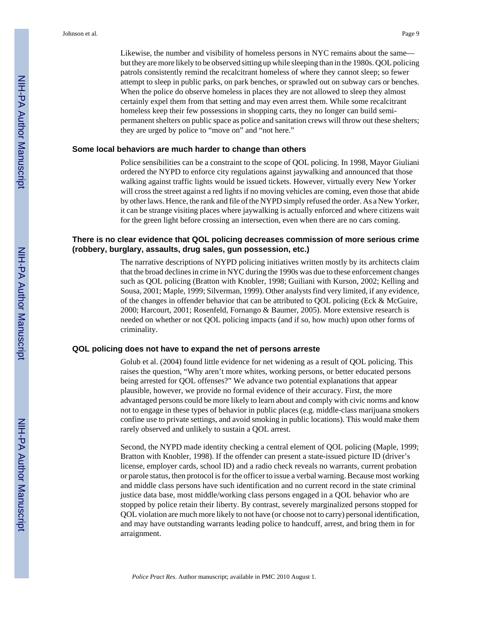Likewise, the number and visibility of homeless persons in NYC remains about the same but they are more likely to be observed sitting up while sleeping than in the 1980s. QOL policing patrols consistently remind the recalcitrant homeless of where they cannot sleep; so fewer attempt to sleep in public parks, on park benches, or sprawled out on subway cars or benches. When the police do observe homeless in places they are not allowed to sleep they almost certainly expel them from that setting and may even arrest them. While some recalcitrant homeless keep their few possessions in shopping carts, they no longer can build semipermanent shelters on public space as police and sanitation crews will throw out these shelters; they are urged by police to "move on" and "not here."

#### **Some local behaviors are much harder to change than others**

Police sensibilities can be a constraint to the scope of QOL policing. In 1998, Mayor Giuliani ordered the NYPD to enforce city regulations against jaywalking and announced that those walking against traffic lights would be issued tickets. However, virtually every New Yorker will cross the street against a red lights if no moving vehicles are coming, even those that abide by other laws. Hence, the rank and file of the NYPD simply refused the order. As a New Yorker, it can be strange visiting places where jaywalking is actually enforced and where citizens wait for the green light before crossing an intersection, even when there are no cars coming.

#### **There is no clear evidence that QOL policing decreases commission of more serious crime (robbery, burglary, assaults, drug sales, gun possession, etc.)**

The narrative descriptions of NYPD policing initiatives written mostly by its architects claim that the broad declines in crime in NYC during the 1990s was due to these enforcement changes such as QOL policing (Bratton with Knobler, 1998; Guiliani with Kurson, 2002; Kelling and Sousa, 2001; Maple, 1999; Silverman, 1999). Other analysts find very limited, if any evidence, of the changes in offender behavior that can be attributed to QOL policing (Eck & McGuire, 2000; Harcourt, 2001; Rosenfeld, Fornango & Baumer, 2005). More extensive research is needed on whether or not QOL policing impacts (and if so, how much) upon other forms of criminality.

#### **QOL policing does not have to expand the net of persons arreste**

Golub et al. (2004) found little evidence for net widening as a result of QOL policing. This raises the question, "Why aren't more whites, working persons, or better educated persons being arrested for QOL offenses?" We advance two potential explanations that appear plausible, however, we provide no formal evidence of their accuracy. First, the more advantaged persons could be more likely to learn about and comply with civic norms and know not to engage in these types of behavior in public places (e.g. middle-class marijuana smokers confine use to private settings, and avoid smoking in public locations). This would make them rarely observed and unlikely to sustain a QOL arrest.

Second, the NYPD made identity checking a central element of QOL policing (Maple, 1999; Bratton with Knobler, 1998). If the offender can present a state-issued picture ID (driver's license, employer cards, school ID) and a radio check reveals no warrants, current probation or parole status, then protocol is for the officer to issue a verbal warning. Because most working and middle class persons have such identification and no current record in the state criminal justice data base, most middle/working class persons engaged in a QOL behavior who are stopped by police retain their liberty. By contrast, severely marginalized persons stopped for QOL violation are much more likely to not have (or choose not to carry) personal identification, and may have outstanding warrants leading police to handcuff, arrest, and bring them in for arraignment.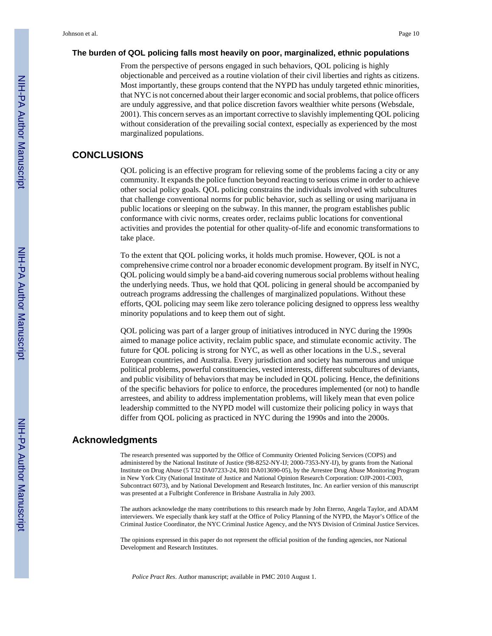#### **The burden of QOL policing falls most heavily on poor, marginalized, ethnic populations**

From the perspective of persons engaged in such behaviors, QOL policing is highly objectionable and perceived as a routine violation of their civil liberties and rights as citizens. Most importantly, these groups contend that the NYPD has unduly targeted ethnic minorities, that NYC is not concerned about their larger economic and social problems, that police officers are unduly aggressive, and that police discretion favors wealthier white persons (Websdale, 2001). This concern serves as an important corrective to slavishly implementing QOL policing without consideration of the prevailing social context, especially as experienced by the most marginalized populations.

#### **CONCLUSIONS**

QOL policing is an effective program for relieving some of the problems facing a city or any community. It expands the police function beyond reacting to serious crime in order to achieve other social policy goals. QOL policing constrains the individuals involved with subcultures that challenge conventional norms for public behavior, such as selling or using marijuana in public locations or sleeping on the subway. In this manner, the program establishes public conformance with civic norms, creates order, reclaims public locations for conventional activities and provides the potential for other quality-of-life and economic transformations to take place.

To the extent that QOL policing works, it holds much promise. However, QOL is not a comprehensive crime control nor a broader economic development program. By itself in NYC, QOL policing would simply be a band-aid covering numerous social problems without healing the underlying needs. Thus, we hold that QOL policing in general should be accompanied by outreach programs addressing the challenges of marginalized populations. Without these efforts, QOL policing may seem like zero tolerance policing designed to oppress less wealthy minority populations and to keep them out of sight.

QOL policing was part of a larger group of initiatives introduced in NYC during the 1990s aimed to manage police activity, reclaim public space, and stimulate economic activity. The future for QOL policing is strong for NYC, as well as other locations in the U.S., several European countries, and Australia. Every jurisdiction and society has numerous and unique political problems, powerful constituencies, vested interests, different subcultures of deviants, and public visibility of behaviors that may be included in QOL policing. Hence, the definitions of the specific behaviors for police to enforce, the procedures implemented (or not) to handle arrestees, and ability to address implementation problems, will likely mean that even police leadership committed to the NYPD model will customize their policing policy in ways that differ from QOL policing as practiced in NYC during the 1990s and into the 2000s.

#### **Acknowledgments**

The research presented was supported by the Office of Community Oriented Policing Services (COPS) and administered by the National Institute of Justice (98-8252-NY-IJ; 2000-7353-NY-IJ), by grants from the National Institute on Drug Abuse (5 T32 DA07233-24, R01 DA013690-05), by the Arrestee Drug Abuse Monitoring Program in New York City (National Institute of Justice and National Opinion Research Corporation: OJP-2001-C003, Subcontract 6073), and by National Development and Research Institutes, Inc. An earlier version of this manuscript was presented at a Fulbright Conference in Brisbane Australia in July 2003.

The authors acknowledge the many contributions to this research made by John Eterno, Angela Taylor, and ADAM interviewers. We especially thank key staff at the Office of Policy Planning of the NYPD, the Mayor's Office of the Criminal Justice Coordinator, the NYC Criminal Justice Agency, and the NYS Division of Criminal Justice Services.

The opinions expressed in this paper do not represent the official position of the funding agencies, nor National Development and Research Institutes.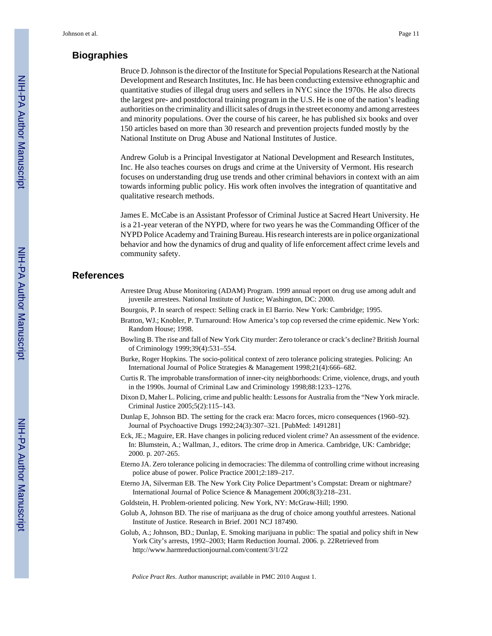#### **Biographies**

Bruce D. Johnson is the director of the Institute for Special Populations Research at the National Development and Research Institutes, Inc. He has been conducting extensive ethnographic and quantitative studies of illegal drug users and sellers in NYC since the 1970s. He also directs the largest pre- and postdoctoral training program in the U.S. He is one of the nation's leading authorities on the criminality and illicit sales of drugs in the street economy and among arrestees and minority populations. Over the course of his career, he has published six books and over 150 articles based on more than 30 research and prevention projects funded mostly by the National Institute on Drug Abuse and National Institutes of Justice.

Andrew Golub is a Principal Investigator at National Development and Research Institutes, Inc. He also teaches courses on drugs and crime at the University of Vermont. His research focuses on understanding drug use trends and other criminal behaviors in context with an aim towards informing public policy. His work often involves the integration of quantitative and qualitative research methods.

James E. McCabe is an Assistant Professor of Criminal Justice at Sacred Heart University. He is a 21-year veteran of the NYPD, where for two years he was the Commanding Officer of the NYPD Police Academy and Training Bureau. His research interests are in police organizational behavior and how the dynamics of drug and quality of life enforcement affect crime levels and community safety.

#### **References**

- Arrestee Drug Abuse Monitoring (ADAM) Program. 1999 annual report on drug use among adult and juvenile arrestees. National Institute of Justice; Washington, DC: 2000.
- Bourgois, P. In search of respect: Selling crack in El Barrio. New York: Cambridge; 1995.
- Bratton, WJ.; Knobler, P. Turnaround: How America's top cop reversed the crime epidemic. New York: Random House; 1998.
- Bowling B. The rise and fall of New York City murder: Zero tolerance or crack's decline? British Journal of Criminology 1999;39(4):531–554.
- Burke, Roger Hopkins. The socio-political context of zero tolerance policing strategies. Policing: An International Journal of Police Strategies & Management 1998;21(4):666–682.
- Curtis R. The improbable transformation of inner-city neighborhoods: Crime, violence, drugs, and youth in the 1990s. Journal of Criminal Law and Criminology 1998;88:1233–1276.
- Dixon D, Maher L. Policing, crime and public health: Lessons for Australia from the "New York miracle. Criminal Justice 2005;5(2):115–143.
- Dunlap E, Johnson BD. The setting for the crack era: Macro forces, micro consequences (1960–92). Journal of Psychoactive Drugs 1992;24(3):307–321. [PubMed: 1491281]
- Eck, JE.; Maguire, ER. Have changes in policing reduced violent crime? An assessment of the evidence. In: Blumstein, A.; Wallman, J., editors. The crime drop in America. Cambridge, UK: Cambridge; 2000. p. 207-265.
- Eterno JA. Zero tolerance policing in democracies: The dilemma of controlling crime without increasing police abuse of power. Police Practice 2001;2:189–217.
- Eterno JA, Silverman EB. The New York City Police Department's Compstat: Dream or nightmare? International Journal of Police Science & Management 2006;8(3):218–231.
- Goldstein, H. Problem-oriented policing. New York, NY: McGraw-Hill; 1990.
- Golub A, Johnson BD. The rise of marijuana as the drug of choice among youthful arrestees. National Institute of Justice. Research in Brief. 2001 NCJ 187490.
- Golub, A.; Johnson, BD.; Dunlap, E. Smoking marijuana in public: The spatial and policy shift in New York City's arrests, 1992–2003; Harm Reduction Journal. 2006. p. 22Retrieved from <http://www.harmreductionjournal.com/content/3/1/22>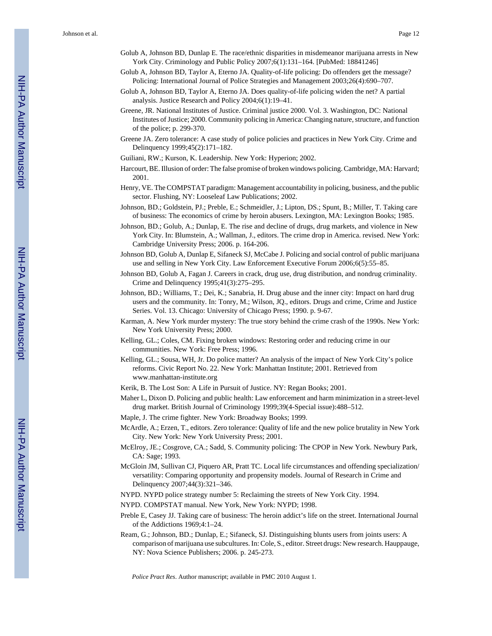Johnson et al. Page 12

- Golub A, Johnson BD, Dunlap E. The race/ethnic disparities in misdemeanor marijuana arrests in New York City. Criminology and Public Policy 2007;6(1):131–164. [PubMed: 18841246]
- Golub A, Johnson BD, Taylor A, Eterno JA. Quality-of-life policing: Do offenders get the message? Policing: International Journal of Police Strategies and Management 2003;26(4):690–707.
- Golub A, Johnson BD, Taylor A, Eterno JA. Does quality-of-life policing widen the net? A partial analysis. Justice Research and Policy 2004;6(1):19–41.
- Greene, JR. National Institutes of Justice. Criminal justice 2000. Vol. 3. Washington, DC: National Institutes of Justice; 2000. Community policing in America: Changing nature, structure, and function of the police; p. 299-370.
- Greene JA. Zero tolerance: A case study of police policies and practices in New York City. Crime and Delinquency 1999;45(2):171–182.
- Guiliani, RW.; Kurson, K. Leadership. New York: Hyperion; 2002.
- Harcourt, BE. Illusion of order: The false promise of broken windows policing. Cambridge, MA: Harvard; 2001.
- Henry, VE. The COMPSTAT paradigm: Management accountability in policing, business, and the public sector. Flushing, NY: Looseleaf Law Publications; 2002.
- Johnson, BD.; Goldstein, PJ.; Preble, E.; Schmeidler, J.; Lipton, DS.; Spunt, B.; Miller, T. Taking care of business: The economics of crime by heroin abusers. Lexington, MA: Lexington Books; 1985.
- Johnson, BD.; Golub, A.; Dunlap, E. The rise and decline of drugs, drug markets, and violence in New York City. In: Blumstein, A.; Wallman, J., editors. The crime drop in America. revised. New York: Cambridge University Press; 2006. p. 164-206.
- Johnson BD, Golub A, Dunlap E, Sifaneck SJ, McCabe J. Policing and social control of public marijuana use and selling in New York City. Law Enforcement Executive Forum 2006;6(5):55–85.
- Johnson BD, Golub A, Fagan J. Careers in crack, drug use, drug distribution, and nondrug criminality. Crime and Delinquency 1995;41(3):275–295.
- Johnson, BD.; Williams, T.; Dei, K.; Sanabria, H. Drug abuse and the inner city: Impact on hard drug users and the community. In: Tonry, M.; Wilson, JQ., editors. Drugs and crime, Crime and Justice Series. Vol. 13. Chicago: University of Chicago Press; 1990. p. 9-67.
- Karman, A. New York murder mystery: The true story behind the crime crash of the 1990s. New York: New York University Press; 2000.
- Kelling, GL.; Coles, CM. Fixing broken windows: Restoring order and reducing crime in our communities. New York: Free Press; 1996.
- Kelling, GL.; Sousa, WH, Jr. Do police matter? An analysis of the impact of New York City's police reforms. Civic Report No. 22. New York: Manhattan Institute; 2001. Retrieved from www.manhattan-institute.org
- Kerik, B. The Lost Son: A Life in Pursuit of Justice. NY: Regan Books; 2001.
- Maher L, Dixon D. Policing and public health: Law enforcement and harm minimization in a street-level drug market. British Journal of Criminology 1999;39(4-Special issue):488–512.
- Maple, J. The crime fighter. New York: Broadway Books; 1999.
- McArdle, A.; Erzen, T., editors. Zero tolerance: Quality of life and the new police brutality in New York City. New York: New York University Press; 2001.
- McElroy, JE.; Cosgrove, CA.; Sadd, S. Community policing: The CPOP in New York. Newbury Park, CA: Sage; 1993.
- McGloin JM, Sullivan CJ, Piquero AR, Pratt TC. Local life circumstances and offending specialization/ versatility: Comparing opportunity and propensity models. Journal of Research in Crime and Delinquency 2007;44(3):321–346.
- NYPD. NYPD police strategy number 5: Reclaiming the streets of New York City. 1994.
- NYPD. COMPSTAT manual. New York, New York: NYPD; 1998.
- Preble E, Casey JJ. Taking care of business: The heroin addict's life on the street. International Journal of the Addictions 1969;4:1–24.
- Ream, G.; Johnson, BD.; Dunlap, E.; Sifaneck, SJ. Distinguishing blunts users from joints users: A comparison of marijuana use subcultures. In: Cole, S., editor. Street drugs: New research. Hauppauge, NY: Nova Science Publishers; 2006. p. 245-273.